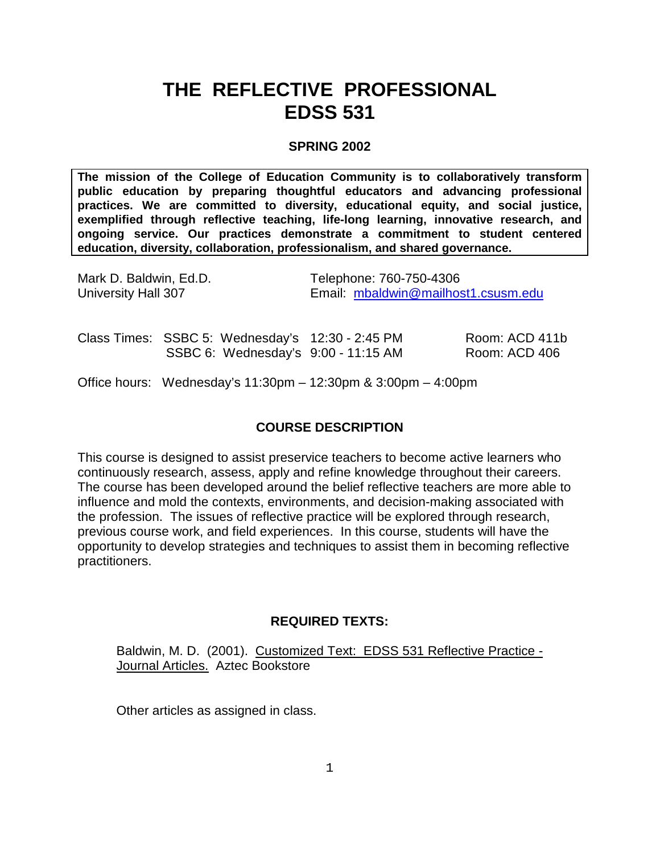# **THE REFLECTIVE PROFESSIONAL EDSS 531**

# **SPRING 2002**

**The mission of the College of Education Community is to collaboratively transform public education by preparing thoughtful educators and advancing professional practices. We are committed to diversity, educational equity, and social justice, exemplified through reflective teaching, life-long learning, innovative research, and ongoing service. Our practices demonstrate a commitment to student centered education, diversity, collaboration, professionalism, and shared governance.**

| Mark D. Baldwin, Ed.D.     |                                                                                         | Telephone: 760-750-4306             |                                 |
|----------------------------|-----------------------------------------------------------------------------------------|-------------------------------------|---------------------------------|
| <b>University Hall 307</b> |                                                                                         | Email: mbaldwin@mailhost1.csusm.edu |                                 |
|                            | Class Times: SSBC 5: Wednesday's 12:30 - 2:45 PM<br>SSBC 6: Wednesday's 9:00 - 11:15 AM |                                     | Room: ACD 411b<br>Room: ACD 406 |

Office hours: Wednesday's 11:30pm – 12:30pm & 3:00pm – 4:00pm

# **COURSE DESCRIPTION**

This course is designed to assist preservice teachers to become active learners who continuously research, assess, apply and refine knowledge throughout their careers. The course has been developed around the belief reflective teachers are more able to influence and mold the contexts, environments, and decision-making associated with the profession. The issues of reflective practice will be explored through research, previous course work, and field experiences. In this course, students will have the opportunity to develop strategies and techniques to assist them in becoming reflective practitioners.

# **REQUIRED TEXTS:**

Baldwin, M. D. (2001). Customized Text: EDSS 531 Reflective Practice - Journal Articles. Aztec Bookstore

Other articles as assigned in class.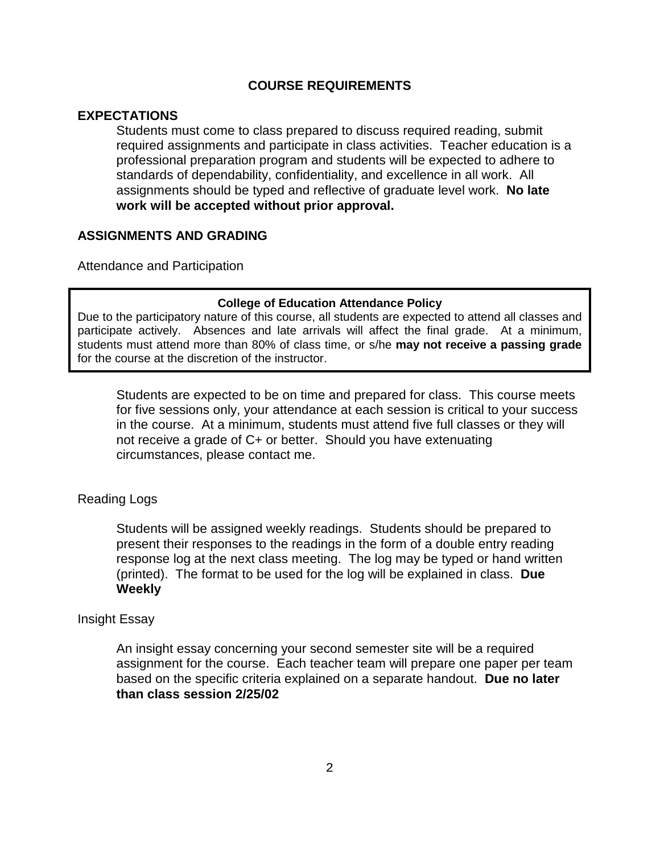# **COURSE REQUIREMENTS**

# **EXPECTATIONS**

Students must come to class prepared to discuss required reading, submit required assignments and participate in class activities. Teacher education is a professional preparation program and students will be expected to adhere to standards of dependability, confidentiality, and excellence in all work. All assignments should be typed and reflective of graduate level work. **No late work will be accepted without prior approval.**

# **ASSIGNMENTS AND GRADING**

Attendance and Participation

#### **College of Education Attendance Policy**

Due to the participatory nature of this course, all students are expected to attend all classes and participate actively. Absences and late arrivals will affect the final grade. At a minimum, students must attend more than 80% of class time, or s/he **may not receive a passing grade** for the course at the discretion of the instructor.

Students are expected to be on time and prepared for class. This course meets for five sessions only, your attendance at each session is critical to your success in the course. At a minimum, students must attend five full classes or they will not receive a grade of C+ or better. Should you have extenuating circumstances, please contact me.

#### Reading Logs

Students will be assigned weekly readings. Students should be prepared to present their responses to the readings in the form of a double entry reading response log at the next class meeting. The log may be typed or hand written (printed). The format to be used for the log will be explained in class. **Due Weekly**

#### Insight Essay

An insight essay concerning your second semester site will be a required assignment for the course. Each teacher team will prepare one paper per team based on the specific criteria explained on a separate handout. **Due no later than class session 2/25/02**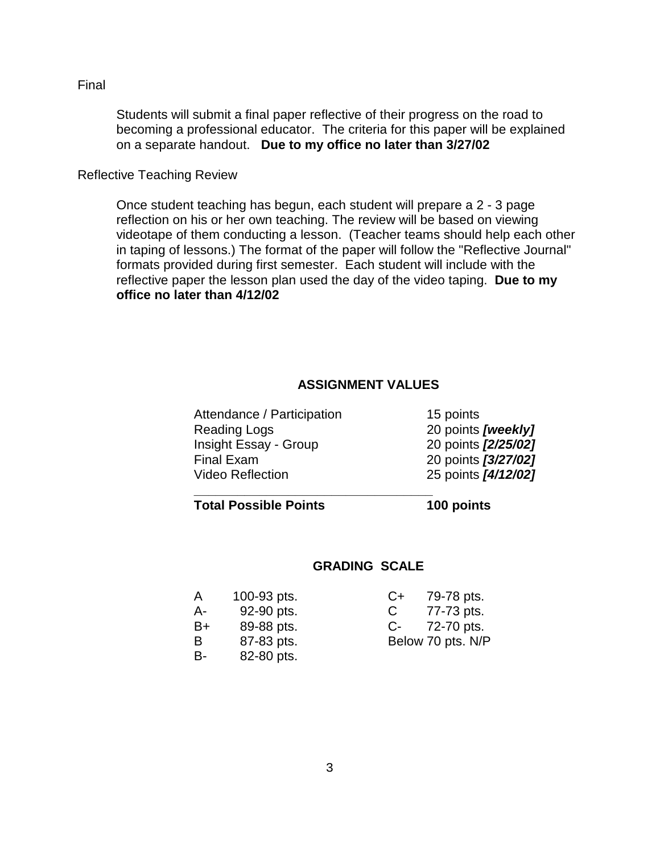Final

Students will submit a final paper reflective of their progress on the road to becoming a professional educator. The criteria for this paper will be explained on a separate handout. **Due to my office no later than 3/27/02**

Reflective Teaching Review

Once student teaching has begun, each student will prepare a 2 - 3 page reflection on his or her own teaching. The review will be based on viewing videotape of them conducting a lesson. (Teacher teams should help each other in taping of lessons.) The format of the paper will follow the "Reflective Journal" formats provided during first semester. Each student will include with the reflective paper the lesson plan used the day of the video taping. **Due to my office no later than 4/12/02**

# **ASSIGNMENT VALUES**

| Attendance / Participation | 15 points           |
|----------------------------|---------------------|
| <b>Reading Logs</b>        | 20 points [weekly]  |
| Insight Essay - Group      | 20 points [2/25/02] |
| <b>Final Exam</b>          | 20 points [3/27/02] |
| <b>Video Reflection</b>    | 25 points [4/12/02] |

| 15 points |                     |
|-----------|---------------------|
|           | 20 points [weekly]  |
|           | 20 points [2/25/02] |
|           | 20 points [3/27/02] |
|           | 25 points [4/12/02] |

# **Total Possible Points 100 points**

**\_\_\_\_\_\_\_\_\_\_\_\_\_\_\_\_\_\_\_\_\_\_\_\_\_\_\_\_\_\_\_\_\_**

# **GRADING SCALE**

| A  | 100-93 pts. | $C+$ | 79-78 pts.        |
|----|-------------|------|-------------------|
| А- | 92-90 pts.  | C    | 77-73 pts.        |
| B+ | 89-88 pts.  | $C-$ | 72-70 pts.        |
| B  | 87-83 pts.  |      | Below 70 pts. N/P |
| B- | 82-80 pts.  |      |                   |